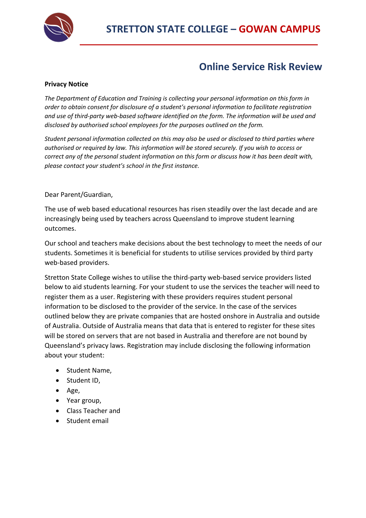

# **Online Service Risk Review**

### **Privacy Notice**

*The Department of Education and Training is collecting your personal information on this form in order to obtain consent for disclosure of a student's personal information to facilitate registration and use of third-party web-based software identified on the form. The information will be used and disclosed by authorised school employees for the purposes outlined on the form.* 

*Student personal information collected on this may also be used or disclosed to third parties where authorised or required by law. This information will be stored securely. If you wish to access or correct any of the personal student information on this form or discuss how it has been dealt with, please contact your student's school in the first instance.* 

Dear Parent/Guardian,

The use of web based educational resources has risen steadily over the last decade and are increasingly being used by teachers across Queensland to improve student learning outcomes.

Our school and teachers make decisions about the best technology to meet the needs of our students. Sometimes it is beneficial for students to utilise services provided by third party web-based providers.

Stretton State College wishes to utilise the third-party web-based service providers listed below to aid students learning. For your student to use the services the teacher will need to register them as a user. Registering with these providers requires student personal information to be disclosed to the provider of the service. In the case of the services outlined below they are private companies that are hosted onshore in Australia and outside of Australia. Outside of Australia means that data that is entered to register for these sites will be stored on servers that are not based in Australia and therefore are not bound by Queensland's privacy laws. Registration may include disclosing the following information about your student:

- Student Name,
- Student ID,
- Age,
- Year group,
- Class Teacher and
- Student email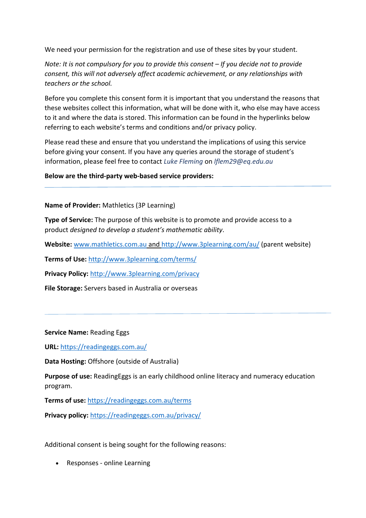We need your permission for the registration and use of these sites by your student.

*Note: It is not compulsory for you to provide this consent – If you decide not to provide consent, this will not adversely affect academic achievement, or any relationships with teachers or the school.*

Before you complete this consent form it is important that you understand the reasons that these websites collect this information, what will be done with it, who else may have access to it and where the data is stored. This information can be found in the hyperlinks below referring to each website's terms and conditions and/or privacy policy.

Please read these and ensure that you understand the implications of using this service before giving your consent. If you have any queries around the storage of student's information, please feel free to contact *Luke Fleming* on *lflem29@eq.edu.au*

**Below are the third-party web-based service providers:** 

**Name of Provider:** Mathletics (3P Learning)

**Type of Service:** The purpose of this website is to promote and provide access to a product *designed to develop a student's mathematic ability*.

**Website:** www.mathletics.com.au and http://www.3plearning.com/au/ (parent website)

**Terms of Use:** http://www.3plearning.com/terms/

**Privacy Policy:** http://www.3plearning.com/privacy

**File Storage:** Servers based in Australia or overseas

**Service Name:** Reading Eggs

**URL:** https://readingeggs.com.au/

**Data Hosting:** Offshore (outside of Australia)

**Purpose of use:** ReadingEggs is an early childhood online literacy and numeracy education program.

**Terms of use:** https://readingeggs.com.au/terms

**Privacy policy:** https://readingeggs.com.au/privacy/

Additional consent is being sought for the following reasons:

• Responses - online Learning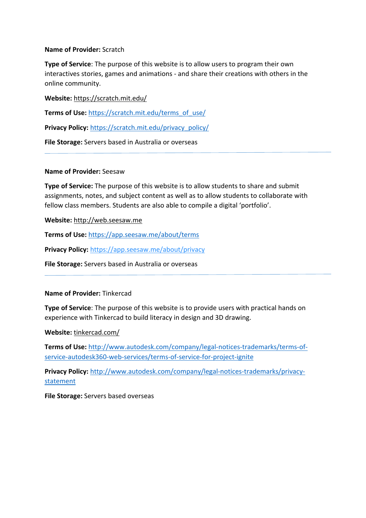#### **Name of Provider:** Scratch

**Type of Service**: The purpose of this website is to allow users to program their own interactives stories, games and animations - and share their creations with others in the online community.

**Website:** https://scratch.mit.edu/

**Terms of Use:** https://scratch.mit.edu/terms\_of\_use/

Privacy Policy: https://scratch.mit.edu/privacy\_policy/

**File Storage:** Servers based in Australia or overseas

#### **Name of Provider:** Seesaw

**Type of Service:** The purpose of this website is to allow students to share and submit assignments, notes, and subject content as well as to allow students to collaborate with fellow class members. Students are also able to compile a digital 'portfolio'.

**Website:** http://web.seesaw.me

**Terms of Use:** https://app.seesaw.me/about/terms

**Privacy Policy:** https://app.seesaw.me/about/privacy

**File Storage:** Servers based in Australia or overseas

## **Name of Provider:** Tinkercad

**Type of Service**: The purpose of this website is to provide users with practical hands on experience with Tinkercad to build literacy in design and 3D drawing.

**Website:** tinkercad.com/

**Terms of Use:** http://www.autodesk.com/company/legal-notices-trademarks/terms-ofservice-autodesk360-web-services/terms-of-service-for-project-ignite

**Privacy Policy:** http://www.autodesk.com/company/legal-notices-trademarks/privacystatement

**File Storage:** Servers based overseas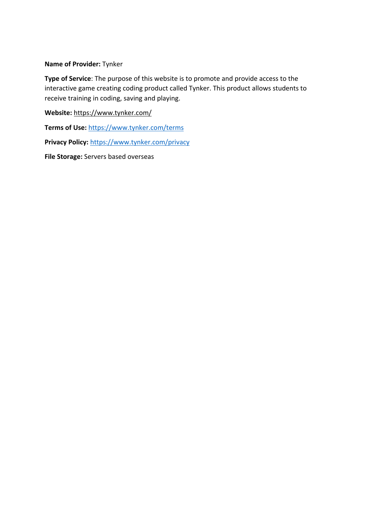#### **Name of Provider:** Tynker

**Type of Service**: The purpose of this website is to promote and provide access to the interactive game creating coding product called Tynker. This product allows students to receive training in coding, saving and playing.

**Website:** https://www.tynker.com/

**Terms of Use:** https://www.tynker.com/terms

**Privacy Policy:** https://www.tynker.com/privacy

**File Storage:** Servers based overseas